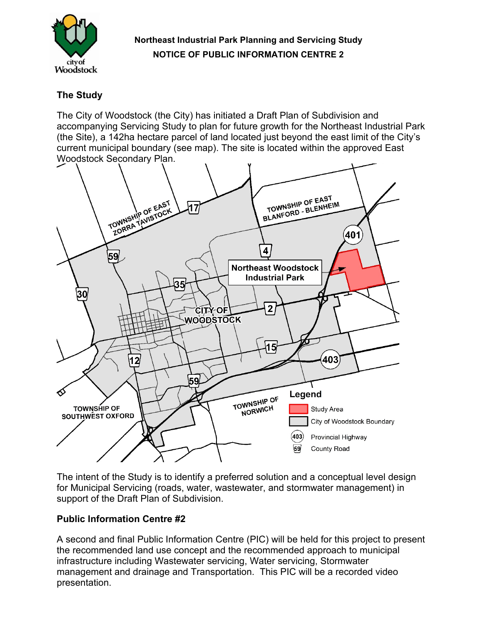

## **Northeast Industrial Park Planning and Servicing Study NOTICE OF PUBLIC INFORMATION CENTRE 2**

## **The Study**

The City of Woodstock (the City) has initiated a Draft Plan of Subdivision and accompanying Servicing Study to plan for future growth for the Northeast Industrial Park (the Site), a 142ha hectare parcel of land located just beyond the east limit of the City's current municipal boundary (see map). The site is located within the approved East Woodstock Secondary Plan.



The intent of the Study is to identify a preferred solution and a conceptual level design for Municipal Servicing (roads, water, wastewater, and stormwater management) in support of the Draft Plan of Subdivision.

## **Public Information Centre #2**

A second and final Public Information Centre (PIC) will be held for this project to present the recommended land use concept and the recommended approach to municipal infrastructure including Wastewater servicing, Water servicing, Stormwater management and drainage and Transportation. This PIC will be a recorded video presentation.